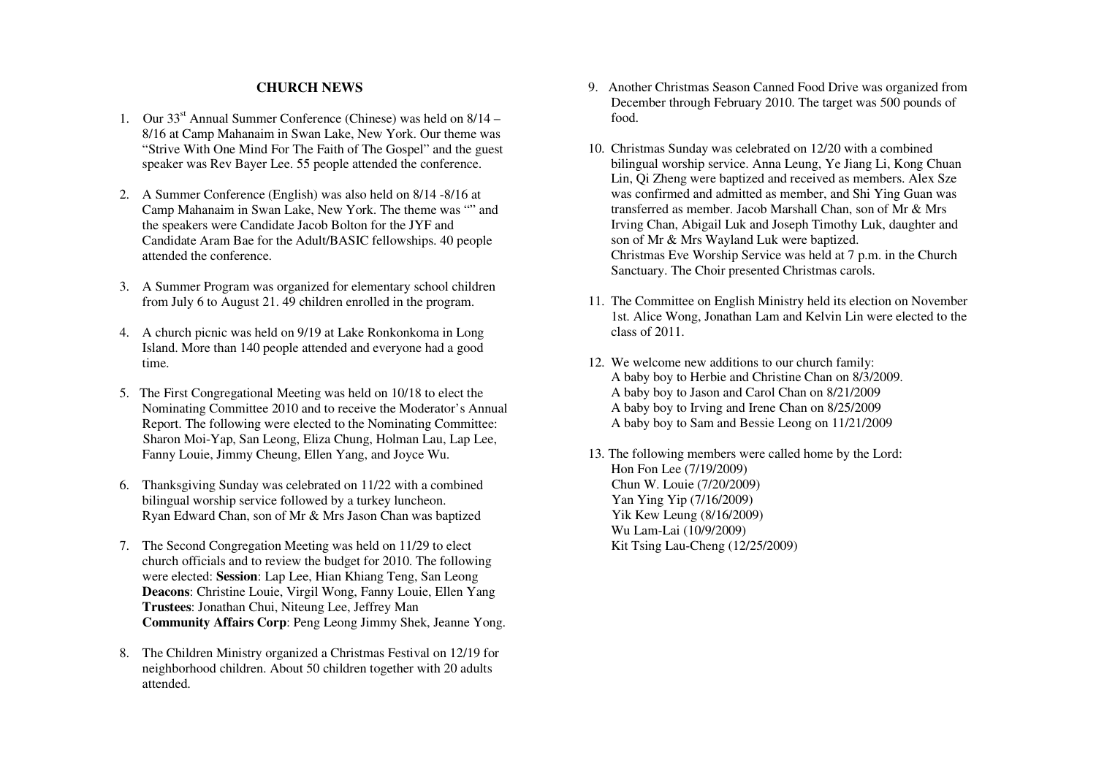## **CHURCH NEWS**

- 1. Our  $33<sup>st</sup>$  Annual Summer Conference (Chinese) was held on  $8/14$  8/16 at Camp Mahanaim in Swan Lake, New York. Our theme was "Strive With One Mind For The Faith of The Gospel" and the guest speaker was Rev Bayer Lee. 55 people attended the conference.
- 2. A Summer Conference (English) was also held on 8/14 -8/16 at Camp Mahanaim in Swan Lake, New York. The theme was "" and the speakers were Candidate Jacob Bolton for the JYF and Candidate Aram Bae for the Adult/BASIC fellowships. 40 people attended the conference.
- 3. A Summer Program was organized for elementary school children from July 6 to August 21. 49 children enrolled in the program.
- 4. A church picnic was held on 9/19 at Lake Ronkonkoma in Long Island. More than 140 people attended and everyone had a good time.
- 5. The First Congregational Meeting was held on 10/18 to elect the Nominating Committee 2010 and to receive the Moderator's Annual Report. The following were elected to the Nominating Committee: Sharon Moi-Yap, San Leong, Eliza Chung, Holman Lau, Lap Lee, Fanny Louie, Jimmy Cheung, Ellen Yang, and Joyce Wu.
- 6. Thanksgiving Sunday was celebrated on 11/22 with a combined bilingual worship service followed by a turkey luncheon. Ryan Edward Chan, son of Mr & Mrs Jason Chan was baptized
- 7. The Second Congregation Meeting was held on 11/29 to elect church officials and to review the budget for 2010. The following were elected: **Session**: Lap Lee, Hian Khiang Teng, San Leong **Deacons**: Christine Louie, Virgil Wong, Fanny Louie, Ellen Yang **Trustees**: Jonathan Chui, Niteung Lee, Jeffrey Man **Community Affairs Corp**: Peng Leong Jimmy Shek, Jeanne Yong.
- 8. The Children Ministry organized a Christmas Festival on 12/19 for neighborhood children. About 50 children together with 20 adults attended.
- 9. Another Christmas Season Canned Food Drive was organized from December through February 2010. The target was 500 pounds of food.
- 10. Christmas Sunday was celebrated on 12/20 with a combined bilingual worship service. Anna Leung, Ye Jiang Li, Kong Chuan Lin, Qi Zheng were baptized and received as members. Alex Sze was confirmed and admitted as member, and Shi Ying Guan was transferred as member. Jacob Marshall Chan, son of Mr & Mrs Irving Chan, Abigail Luk and Joseph Timothy Luk, daughter and son of Mr & Mrs Wayland Luk were baptized. Christmas Eve Worship Service was held at 7 p.m. in the Church Sanctuary. The Choir presented Christmas carols.
- 11. The Committee on English Ministry held its election on November 1st. Alice Wong, Jonathan Lam and Kelvin Lin were elected to the class of 2011.
- 12. We welcome new additions to our church family: A baby boy to Herbie and Christine Chan on 8/3/2009. A baby boy to Jason and Carol Chan on 8/21/2009 A baby boy to Irving and Irene Chan on 8/25/2009 A baby boy to Sam and Bessie Leong on 11/21/2009
- 13. The following members were called home by the Lord: Hon Fon Lee (7/19/2009) Chun W. Louie (7/20/2009) Yan Ying Yip (7/16/2009) Yik Kew Leung (8/16/2009) Wu Lam-Lai (10/9/2009) Kit Tsing Lau-Cheng (12/25/2009)